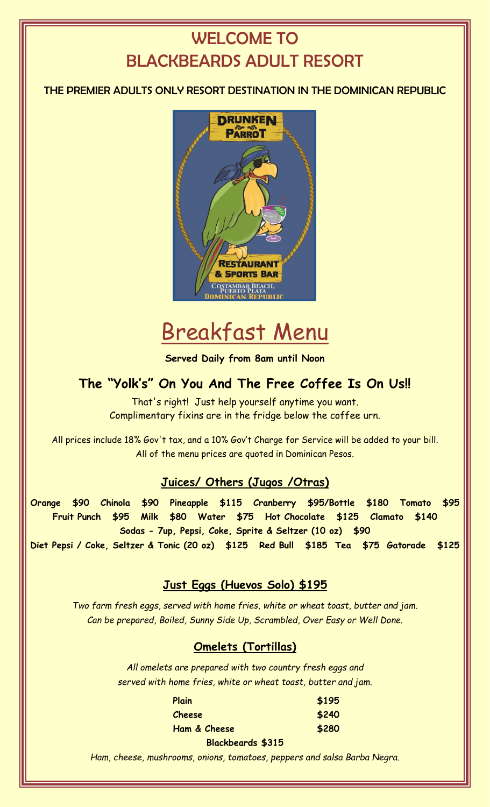# WELCOME TO BLACKBEARDS ADULT RESORT

# THE PREMIER ADULTS ONLY RESORT DESTINATION IN THE DOMINICAN REPUBLIC



# Breakfast Menu

**Served Daily from 8am until Noon**

# **The "Yolk's" On You And The Free Coffee Is On Us!!**

That's right! Just help yourself anytime you want. Complimentary fixins are in the fridge below the coffee urn.

All prices include 18% Gov't tax, and a 10% Gov't Charge for Service will be added to your bill. All of the menu prices are quoted in Dominican Pesos.

# **Juices/ Others (Jugos /Otras)**

**Orange \$90 Chinola \$90 Pineapple \$115 Cranberry \$95/Bottle \$180 Tomato \$95 Fruit Punch \$95 Milk \$80 Water \$75 Hot Chocolate \$125 Clamato \$140 Sodas - 7up, Pepsi, Coke, Sprite & Seltzer (10 oz) \$90 Diet Pepsi / Coke, Seltzer & Tonic (20 oz) \$125 Red Bull \$185 Tea \$75 Gatorade \$125**

# **Just Eggs (Huevos Solo) \$195**

*Two farm fresh eggs, served with home fries, white or wheat toast, butter and jam. Can be prepared, Boiled, Sunny Side Up, Scrambled, Over Easy or Well Done.*

# **Omelets (Tortillas)**

*All omelets are prepared with two country fresh eggs and served with home fries, white or wheat toast, butter and jam.*

| Plain        | \$195 |
|--------------|-------|
| Cheese       | \$240 |
| Ham & Cheese | \$280 |

#### **Blackbeards \$315**

*Ham, cheese, mushrooms, onions, tomatoes, peppers and salsa Barba Negra.*